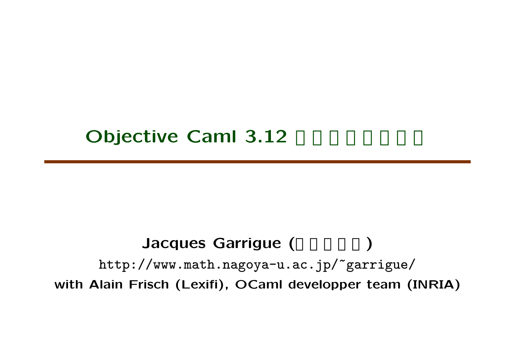## **Objective Caml 3.12**

## **Jacques Garrigue (** http://www.math.nagoya-u.ac.jp/~garrigue/ **with Alain Frisch (Lexifi), OCaml developper team (INRIA)**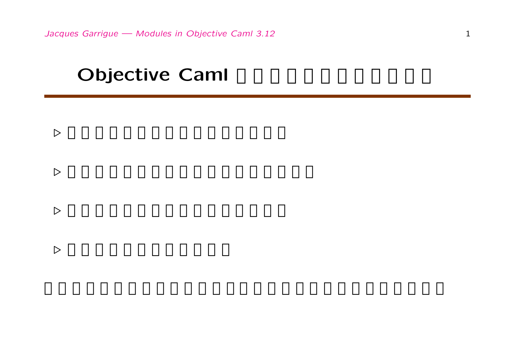## **Objective Caml**

*.* プログラムおよび名前空間の構造化

*.* 抽象型・プライベート型による隠蔽

*.* ファンクターによる抽象化

*.* インターフェスによる仕様記述・部品化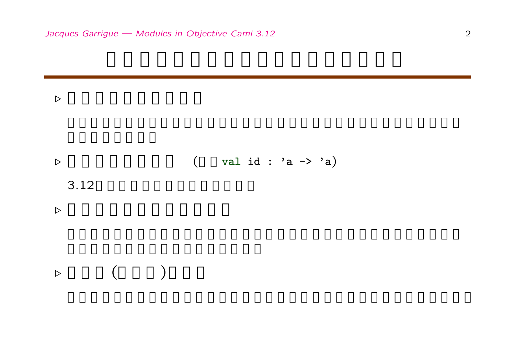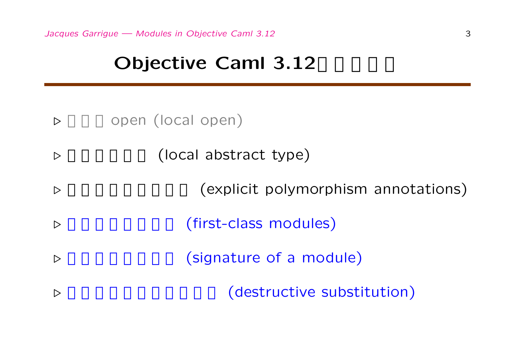# **Objective Caml 3.12**

- **Example 3** (local abstract type)
- $\triangleright$  (explicit polymorphism annotations)
- **Example 3**  $\rightarrow$  (first-class modules)
- $\triangleright$  (signature of a module)
- $\rho$  (destructive substitution)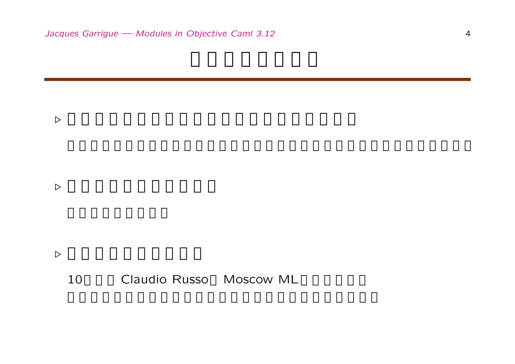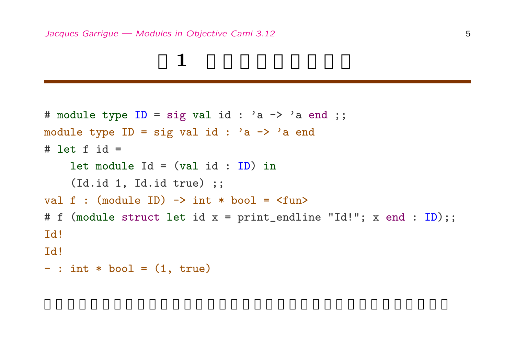# $\mathbf{1}$

```
# module type ID = sig val id : 'a -> 'a end ;;module type ID = sig val id : 'a -> 'a end# let f id =
    let module Id = (val id : ID) in
    (Id.id 1, Id.id true) ;;
val f : (module ID) \rightarrow int * bool = <fun</math># f (module struct let id x = print_endline "Id!"; x end : ID);;
Id!
Id!
- : int * bool = (1, true)
```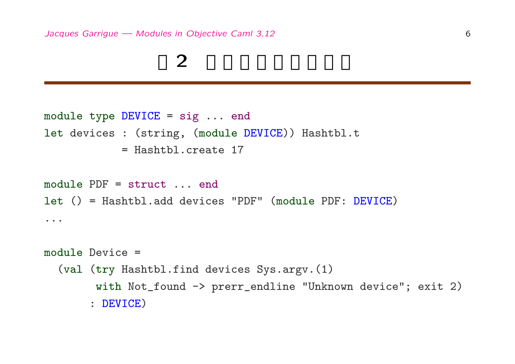# **2** 実行時に実装を選ぶ

```
module type DEVICE = sig ... end
let devices : (string, (module DEVICE)) Hashtbl.t
            = Hashtbl.create 17
module PDF = struct ... end
let () = Hashtbl.add devices "PDF" (module PDF: DEVICE)
...
module Device =
  (val (try Hashtbl.find devices Sys.argv.(1)
        with Not_found -> prerr_endline "Unknown device"; exit 2)
       : DEVICE)
```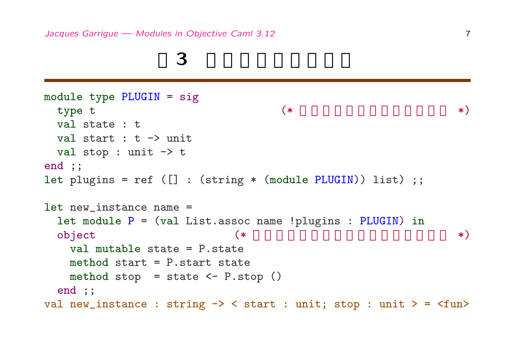# **3** 型安全なプラグイン

```
module type PLUGIN = sig
  type t \qquad \qquad (*)val state : t
 val start : t -> unit
 val stop : unit \rightarrow t
end ;;
let plugins = ref ([] : (string * (module PLUGIN)) list) ;;
let new instance name =
 let module P = (val List.\n    assoc name !plugins : <math>PLUGIN</math>) inobject (* \qquad \qquad \qquad \text{(*)}val mutable state = P.state
   method start = P.start state
   method stop = state \leq P.stop ()
 end ;;
val new_instance : string \rightarrow < start : unit; stop : unit > = <fun>
```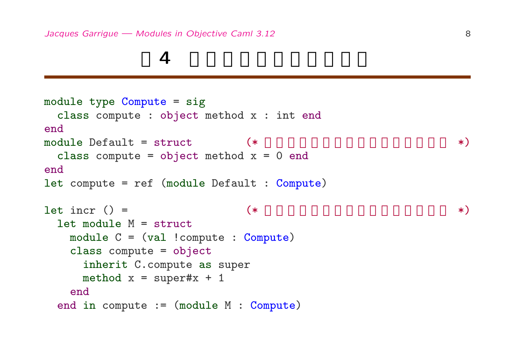# **4** クラスの動的生成・継承

```
module type Compute = sig
 class compute : object method x : int end
end
module Default = struct (*)class compute = object method x = 0 end
end
let compute = ref (module Default : Compute)
let incr () = (* *)let module M = struct
   module C = (val !compute : Compute)
   class compute = object
     inherit C.compute as super
    method x = super#x + 1end
 end in compute := (module M : Compute)
```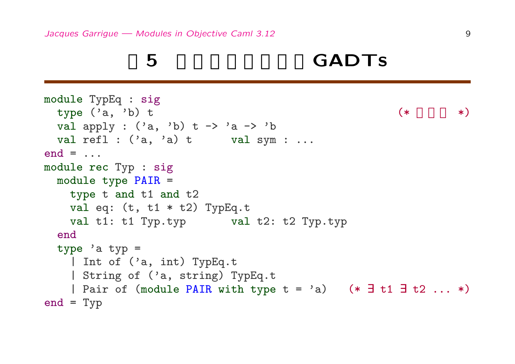# **5** 型の実行時表現と**GADTs**

```
module TypEq : sig
 type ('a, 'b) t (* ' *)
 val apply : ('a, 'b) t \rightarrow 'a \rightarrow 'bval refl : ('a, 'a) t val sym : ...
end = ...module rec Typ : sig
 module type PAIR =
   type t and t1 and t2
   val eq: (t, t1 * t2) TypEq.t
   val t1: t1 Typ.typ val t2: t2 Typ.typ
 end
 type 'a typ =
   | Int of ('a, int) TypEq.t
   | String of ('a, string) TypEq.t
   | Pair of (module PAIR with type t = 'a) (* t1 t2 ... *)end = Type
```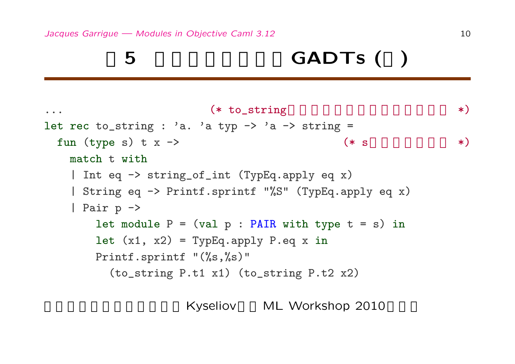# **5** 型の実行時表現と**GADTs ( )**

```
... (*) (* to_string (*)let rec to_string : 'a. 'a typ \rightarrow 'a \rightarrow string =
 fun (type s) t x \rightarrow (* s  *)
   match t with
   | Int eq -> string_of_int (TypEq.apply eq x)
   | String eq -> Printf.sprintf "%S" (TypEq.apply eq x)
   | Pair p ->
       let module P = (val p : PAIR with type t = s) inlet (x1, x2) = TypEq.apply P.eq x in
      Printf.sprintf "(%s,%s)"
         (to_string P.t1 x1) (to_string P.t2 x2)
```
Kyseliov ML Workshop 2010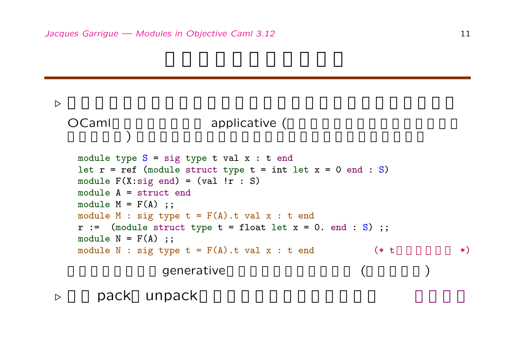```
. ファンクターの中では第一級モジュールを開くことはできない
```

```
OCaml applicative (
を生成する) なので、それを許すと安全でないプログラムが書ける。
 module type S = sig type t val x : t end
 let r = ref (module struct type t = int let x = 0 end : S)
 module F(X:sig end) = (val !r : S)module A = struct end
 module M = F(A) ;
 module M : sig type t = F(A).t val x : t end
 r := (module struct type t = float let x = 0. end : S) ;;
 module N = F(A);
 module N : sig type t = F(A).t val x : t end (*)generative
```
**D pack** unpack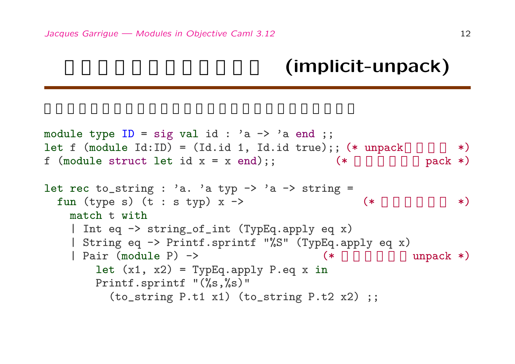# (implicit-unpack)

```
module type ID = sig val id : 'a -> 'a end ;;let f (module Id:ID) = (Id.id 1, Id.id true);; (* unpack *)
f (module struct let id x = x end);; ( * ) pack *)
let rec to_string : 'a. 'a typ \rightarrow 'a \rightarrow string =
 fun (type s) (t : s typ) x \rightarrow (* (*)match t with
   | Int eq -> string_of_int (TypEq.apply eq x)
   | String eq -> Printf.sprintf "%S" (TypEq.apply eq x)
   | Pair (module P) -> (*)let (x1, x2) = TypEq.apply P.eq x in
       Printf.sprintf "(%s,%s)"
         (to_string P.t1 x1) (to_string P.t2 x2) ;;
```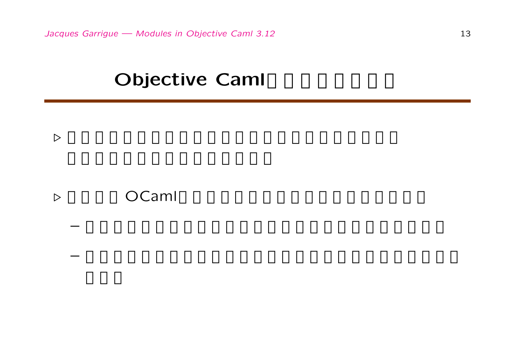*Jacques Garrigue — Modules in Objective Caml 3.12* 13

## **Objective Caml**

 $\triangleright$ 

– ライブラリのモジュールのシグネチャが取得できなかった

– シグネチャを組み合わせて新しいシグネチャをうまく作れな

**D OCaml**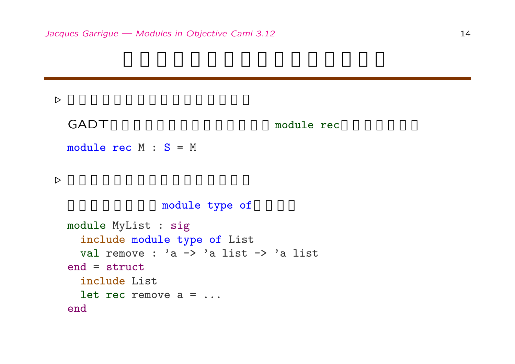```
. シグネチャをモジュールに変換する
  GADT
state of the contract of the module reception of the module reception of the module reception of the state of the state of the state of the state of the state of the state of the state of the state of the state of the
  module rec M : S = M
. モジュールのシグネチャを取得する
                         module type of
  module MyList : sig
     include module type of List
     val remove : 'a -> 'a list -> 'a list
  end = struct
     include List
     let rec remove a = ...end
```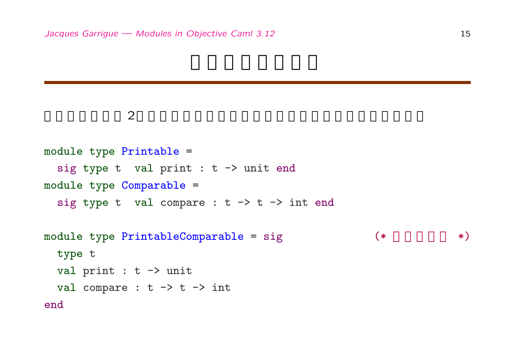### $2$

```
module type Printable =
  sig type t val print : t -> unit end
module type Comparable =
  sig type t val compare : t \rightarrow t \rightarrow int end
module type PrintableComparable = sig (*)type t
  val print : t -> unit
  val compare : t \rightarrow t \rightarrow intend
```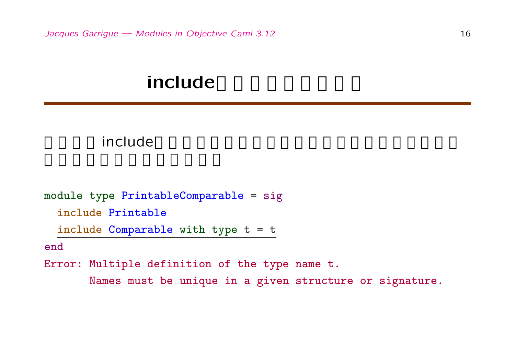## include

include

```
module type PrintableComparable = sig
  include Printable
  include Comparable with type t = t
end
```
Error: Multiple definition of the type name t.

Names must be unique in a given structure or signature.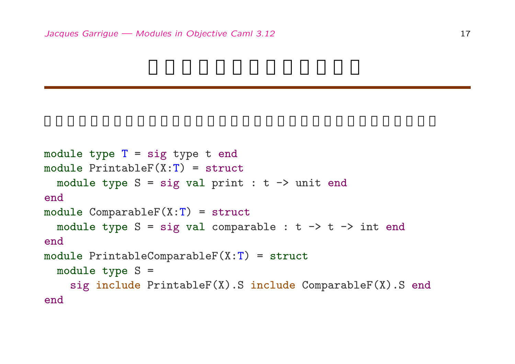```
module type T = sig type t end
module PrintableF(X:T) = structmodule type S = sig val print : t \rightarrow unit end
end
module CompareB(K:T) = structmodule type S = sig val comparable : t \rightarrow t \rightarrow int endend
module PrintableComparableF(X:T) = struct
  module type S =
    sig include PrintableF(X).S include ComparableF(X).S end
end
```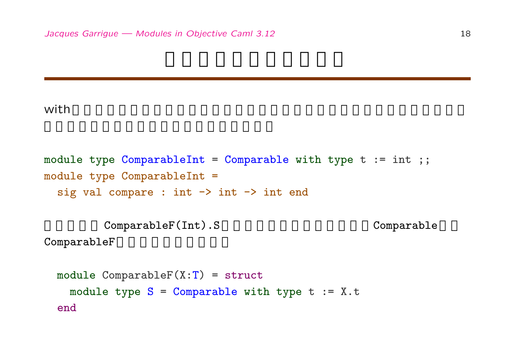$with$ 

```
module type ComparableInt = Comparable with type t := int;;
module type ComparableInt =
  sig val compare : int -> int -> int end
         この構文はComparableF(Int).Sと同等の効果があるが、元々Comparableから
ComparableF
  module Comparebf(X:T) = structmodule type S = Comparable with type t := X.t
```
end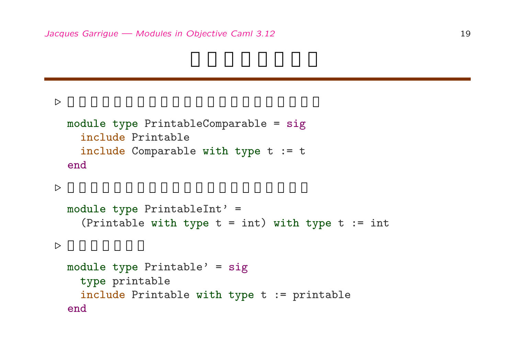### $\sim$

```
module type PrintableComparable = sig
  include Printable
  include Comparable with type t := t
end
```
### *.* 型やモジュールの削除:定義を繰り返せばいい

```
module type PrintableInt' =
  (Printable with type t = int) with type t := int
```
### *.* 名前の付け替え

```
module type Printable' = sig
 type printable
  include Printable with type t := printable
end
```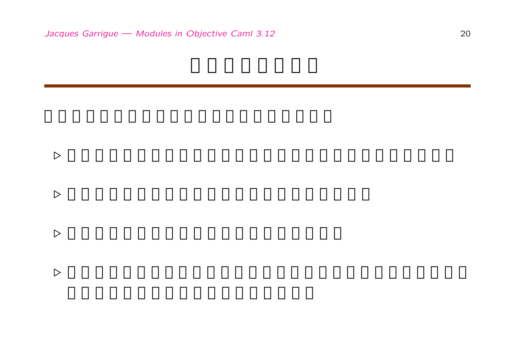$\triangleright$ 

 $\sim$ 

*.* パス(定義されているもの)しか代入できない。

 $\sim$